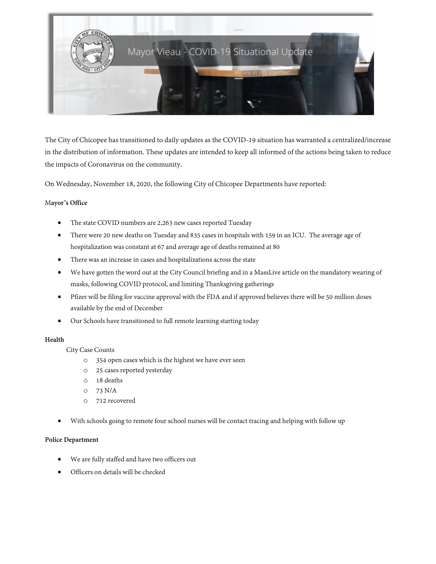

The City of Chicopee has transitioned to daily updates as the COVID-19 situation has warranted a centralized/increase in the distribution of information. These updates are intended to keep all informed of the actions being taken to reduce the impacts of Coronavirus on the community.

On Wednesday, November 18, 2020, the following City of Chicopee Departments have reported:

## M**ayor's Office**

- The state COVID numbers are 2,263 new cases reported Tuesday
- There were 20 new deaths on Tuesday and 835 cases in hospitals with 159 in an ICU. The average age of hospitalization was constant at 67 and average age of deaths remained at 80
- There was an increase in cases and hospitalizations across the state
- We have gotten the word out at the City Council briefing and in a MassLive article on the mandatory wearing of masks, following COVID protocol, and limiting Thanksgiving gatherings
- Pfizer will be filing for vaccine approval with the FDA and if approved believes there will be 50 million doses available by the end of December
- Our Schools have transitioned to full remote learning starting today

## **Health**

City Case Counts

- o 354 open cases which is the highest we have ever seen
- o 25 cases reported yesterday
- o 18 deaths
- o 73 N/A
- o 712 recovered
- With schools going to remote four school nurses will be contact tracing and helping with follow up

## **Police Department**

- We are fully staffed and have two officers out
- Officers on details will be checked